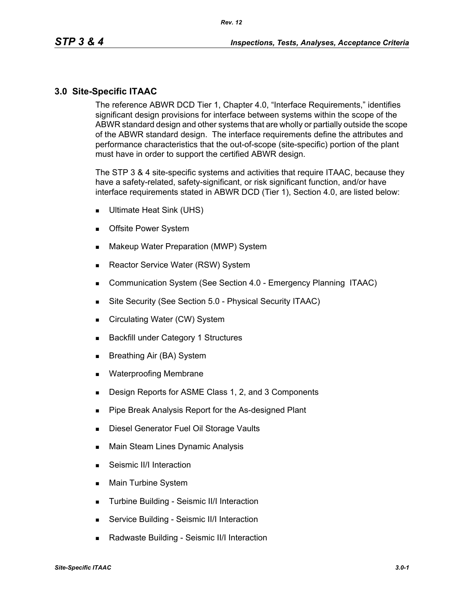### **3.0 Site-Specific ITAAC**

The reference ABWR DCD Tier 1, Chapter 4.0, "Interface Requirements," identifies significant design provisions for interface between systems within the scope of the ABWR standard design and other systems that are wholly or partially outside the scope of the ABWR standard design. The interface requirements define the attributes and performance characteristics that the out-of-scope (site-specific) portion of the plant must have in order to support the certified ABWR design.

The STP 3 & 4 site-specific systems and activities that require ITAAC, because they have a safety-related, safety-significant, or risk significant function, and/or have interface requirements stated in ABWR DCD (Tier 1), Section 4.0, are listed below:

- Ultimate Heat Sink (UHS)
- **Deta** Offsite Power System
- **Makeup Water Preparation (MWP) System**
- Reactor Service Water (RSW) System
- **Communication System (See Section 4.0 Emergency Planning ITAAC)**
- Site Security (See Section 5.0 Physical Security ITAAC)
- Circulating Water (CW) System
- **Backfill under Category 1 Structures**
- Breathing Air (BA) System
- **Net Waterproofing Membrane**
- **Design Reports for ASME Class 1, 2, and 3 Components**
- **Pipe Break Analysis Report for the As-designed Plant**
- **Diesel Generator Fuel Oil Storage Vaults**
- **Main Steam Lines Dynamic Analysis**
- Seismic II/I Interaction
- **Main Turbine System**
- **Turbine Building Seismic II/I Interaction**
- **Service Building Seismic II/I Interaction**
- Radwaste Building Seismic II/I Interaction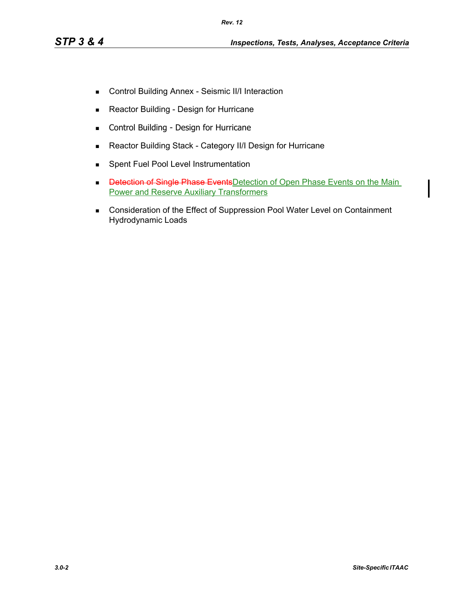- Control Building Annex Seismic II/I Interaction
- **Reactor Building Design for Hurricane**
- **EXECONTROL Building Design for Hurricane**
- Reactor Building Stack Category II/I Design for Hurricane
- **Spent Fuel Pool Level Instrumentation**
- Detection of Single Phase Events Detection of Open Phase Events on the Main Power and Reserve Auxiliary Transformers
- **Consideration of the Effect of Suppression Pool Water Level on Containment** Hydrodynamic Loads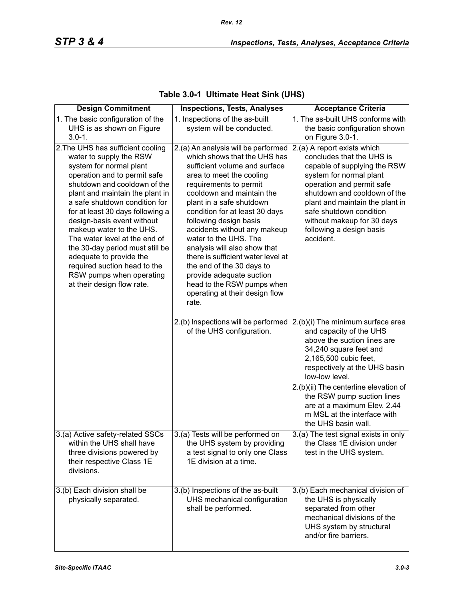| <b>Design Commitment</b>                                                                                                                                                                                                                                                                                                                                                                                                                                                                                           | <b>Inspections, Tests, Analyses</b>                                                                                                                                                                                                                                                                                                                                                                                                                                                                                                              | <b>Acceptance Criteria</b>                                                                                                                                                                                                                                                                                            |
|--------------------------------------------------------------------------------------------------------------------------------------------------------------------------------------------------------------------------------------------------------------------------------------------------------------------------------------------------------------------------------------------------------------------------------------------------------------------------------------------------------------------|--------------------------------------------------------------------------------------------------------------------------------------------------------------------------------------------------------------------------------------------------------------------------------------------------------------------------------------------------------------------------------------------------------------------------------------------------------------------------------------------------------------------------------------------------|-----------------------------------------------------------------------------------------------------------------------------------------------------------------------------------------------------------------------------------------------------------------------------------------------------------------------|
| 1. The basic configuration of the<br>UHS is as shown on Figure<br>$3.0 - 1.$                                                                                                                                                                                                                                                                                                                                                                                                                                       | 1. Inspections of the as-built<br>system will be conducted.                                                                                                                                                                                                                                                                                                                                                                                                                                                                                      | 1. The as-built UHS conforms with<br>the basic configuration shown<br>on Figure 3.0-1.                                                                                                                                                                                                                                |
| 2. The UHS has sufficient cooling<br>water to supply the RSW<br>system for normal plant<br>operation and to permit safe<br>shutdown and cooldown of the<br>plant and maintain the plant in<br>a safe shutdown condition for<br>for at least 30 days following a<br>design-basis event without<br>makeup water to the UHS.<br>The water level at the end of<br>the 30-day period must still be<br>adequate to provide the<br>required suction head to the<br>RSW pumps when operating<br>at their design flow rate. | 2.(a) An analysis will be performed<br>which shows that the UHS has<br>sufficient volume and surface<br>area to meet the cooling<br>requirements to permit<br>cooldown and maintain the<br>plant in a safe shutdown<br>condition for at least 30 days<br>following design basis<br>accidents without any makeup<br>water to the UHS. The<br>analysis will also show that<br>there is sufficient water level at<br>the end of the 30 days to<br>provide adequate suction<br>head to the RSW pumps when<br>operating at their design flow<br>rate. | 2.(a) A report exists which<br>concludes that the UHS is<br>capable of supplying the RSW<br>system for normal plant<br>operation and permit safe<br>shutdown and cooldown of the<br>plant and maintain the plant in<br>safe shutdown condition<br>without makeup for 30 days<br>following a design basis<br>accident. |
|                                                                                                                                                                                                                                                                                                                                                                                                                                                                                                                    | 2.(b) Inspections will be performed<br>of the UHS configuration.                                                                                                                                                                                                                                                                                                                                                                                                                                                                                 | 2.(b)(i) The minimum surface area<br>and capacity of the UHS<br>above the suction lines are<br>34,240 square feet and<br>2,165,500 cubic feet,<br>respectively at the UHS basin<br>low-low level.                                                                                                                     |
|                                                                                                                                                                                                                                                                                                                                                                                                                                                                                                                    |                                                                                                                                                                                                                                                                                                                                                                                                                                                                                                                                                  | 2.(b)(ii) The centerline elevation of<br>the RSW pump suction lines<br>are at a maximum Elev. 2.44<br>m MSL at the interface with<br>the UHS basin wall.                                                                                                                                                              |
| 3.(a) Active safety-related SSCs<br>within the UHS shall have<br>three divisions powered by<br>their respective Class 1E<br>divisions.                                                                                                                                                                                                                                                                                                                                                                             | 3.(a) Tests will be performed on<br>the UHS system by providing<br>a test signal to only one Class<br>1E division at a time.                                                                                                                                                                                                                                                                                                                                                                                                                     | 3.(a) The test signal exists in only<br>the Class 1E division under<br>test in the UHS system.                                                                                                                                                                                                                        |
| 3.(b) Each division shall be<br>physically separated.                                                                                                                                                                                                                                                                                                                                                                                                                                                              | 3.(b) Inspections of the as-built<br>UHS mechanical configuration<br>shall be performed.                                                                                                                                                                                                                                                                                                                                                                                                                                                         | 3.(b) Each mechanical division of<br>the UHS is physically<br>separated from other<br>mechanical divisions of the<br>UHS system by structural<br>and/or fire barriers.                                                                                                                                                |

## **Table 3.0-1 Ultimate Heat Sink (UHS)**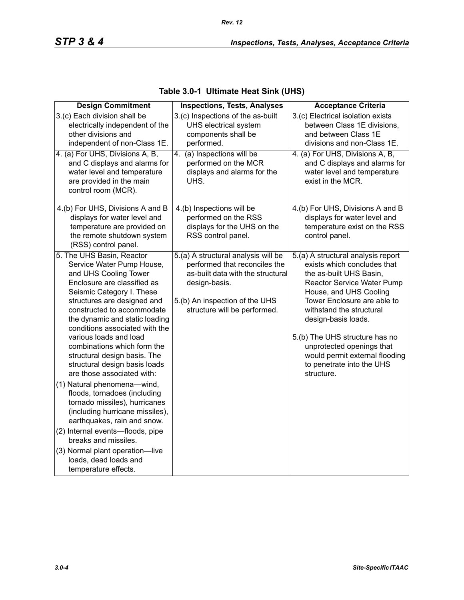| <b>Design Commitment</b>                                                                                                                                                                                                                                                                                                                                                                                                                                                                                                             | <b>Inspections, Tests, Analyses</b>                                                                                                                                                          | <b>Acceptance Criteria</b>                                                                                                                                                                                                                                                                                                                                                         |
|--------------------------------------------------------------------------------------------------------------------------------------------------------------------------------------------------------------------------------------------------------------------------------------------------------------------------------------------------------------------------------------------------------------------------------------------------------------------------------------------------------------------------------------|----------------------------------------------------------------------------------------------------------------------------------------------------------------------------------------------|------------------------------------------------------------------------------------------------------------------------------------------------------------------------------------------------------------------------------------------------------------------------------------------------------------------------------------------------------------------------------------|
| 3.(c) Each division shall be<br>electrically independent of the<br>other divisions and<br>independent of non-Class 1E.                                                                                                                                                                                                                                                                                                                                                                                                               | 3.(c) Inspections of the as-built<br>UHS electrical system<br>components shall be<br>performed.                                                                                              | 3.(c) Electrical isolation exists<br>between Class 1E divisions,<br>and between Class 1E<br>divisions and non-Class 1E.                                                                                                                                                                                                                                                            |
| 4. (a) For UHS, Divisions A, B,<br>and C displays and alarms for<br>water level and temperature<br>are provided in the main<br>control room (MCR).                                                                                                                                                                                                                                                                                                                                                                                   | (a) Inspections will be<br>4.<br>performed on the MCR<br>displays and alarms for the<br>UHS.                                                                                                 | 4. (a) For UHS, Divisions A, B,<br>and C displays and alarms for<br>water level and temperature<br>exist in the MCR.                                                                                                                                                                                                                                                               |
| 4.(b) For UHS, Divisions A and B<br>displays for water level and<br>temperature are provided on<br>the remote shutdown system<br>(RSS) control panel.                                                                                                                                                                                                                                                                                                                                                                                | 4.(b) Inspections will be<br>performed on the RSS<br>displays for the UHS on the<br>RSS control panel.                                                                                       | 4.(b) For UHS, Divisions A and B<br>displays for water level and<br>temperature exist on the RSS<br>control panel.                                                                                                                                                                                                                                                                 |
| 5. The UHS Basin, Reactor<br>Service Water Pump House,<br>and UHS Cooling Tower<br>Enclosure are classified as<br>Seismic Category I. These<br>structures are designed and<br>constructed to accommodate<br>the dynamic and static loading<br>conditions associated with the<br>various loads and load<br>combinations which form the<br>structural design basis. The<br>structural design basis loads<br>are those associated with:<br>(1) Natural phenomena-wind,<br>floods, tornadoes (including<br>tornado missiles), hurricanes | 5.(a) A structural analysis will be<br>performed that reconciles the<br>as-built data with the structural<br>design-basis.<br>5.(b) An inspection of the UHS<br>structure will be performed. | 5.(a) A structural analysis report<br>exists which concludes that<br>the as-built UHS Basin,<br>Reactor Service Water Pump<br>House, and UHS Cooling<br>Tower Enclosure are able to<br>withstand the structural<br>design-basis loads.<br>5.(b) The UHS structure has no<br>unprotected openings that<br>would permit external flooding<br>to penetrate into the UHS<br>structure. |
| (including hurricane missiles),<br>earthquakes, rain and snow.<br>(2) Internal events-floods, pipe<br>breaks and missiles.<br>(3) Normal plant operation-live<br>loads, dead loads and<br>temperature effects.                                                                                                                                                                                                                                                                                                                       |                                                                                                                                                                                              |                                                                                                                                                                                                                                                                                                                                                                                    |

## **Table 3.0-1 Ultimate Heat Sink (UHS)**

*Rev. 12*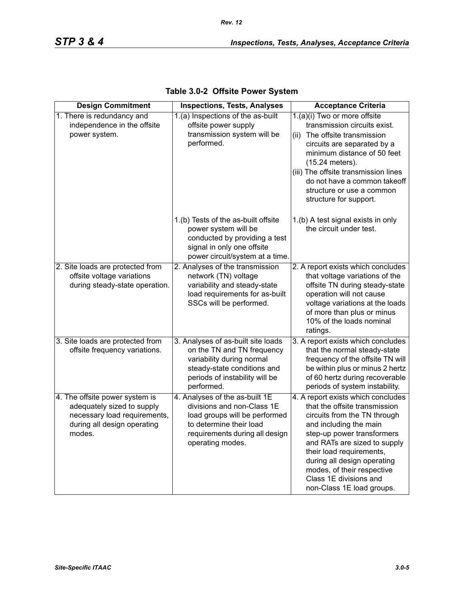| <b>Design Commitment</b>                                                                                                              | <b>Inspections, Tests, Analyses</b>                                                                                                                                            | <b>Acceptance Criteria</b>                                                                                                                                                                                                                                                                                                                  |
|---------------------------------------------------------------------------------------------------------------------------------------|--------------------------------------------------------------------------------------------------------------------------------------------------------------------------------|---------------------------------------------------------------------------------------------------------------------------------------------------------------------------------------------------------------------------------------------------------------------------------------------------------------------------------------------|
| 1. There is redundancy and<br>independence in the offsite<br>power system.                                                            | 1.(a) Inspections of the as-built<br>offsite power supply<br>transmission system will be<br>performed.                                                                         | 1.(a)(i) Two or more offsite<br>transmission circuits exist.<br>(ii) The offsite transmission<br>circuits are separated by a<br>minimum distance of 50 feet<br>(15.24 meters).<br>(iii) The offsite transmission lines<br>do not have a common takeoff<br>structure or use a common<br>structure for support.                               |
|                                                                                                                                       | 1.(b) Tests of the as-built offsite<br>power system will be<br>conducted by providing a test<br>signal in only one offsite<br>power circuit/system at a time.                  | 1.(b) A test signal exists in only<br>the circuit under test.                                                                                                                                                                                                                                                                               |
| 2. Site loads are protected from<br>offsite voltage variations<br>during steady-state operation.                                      | 2. Analyses of the transmission<br>network (TN) voltage<br>variability and steady-state<br>load requirements for as-built<br>SSCs will be performed.                           | 2. A report exists which concludes<br>that voltage variations of the<br>offsite TN during steady-state<br>operation will not cause<br>voltage variations at the loads<br>of more than plus or minus<br>10% of the loads nominal<br>ratings.                                                                                                 |
| 3. Site loads are protected from<br>offsite frequency variations.                                                                     | 3. Analyses of as-built site loads<br>on the TN and TN frequency<br>variability during normal<br>steady-state conditions and<br>periods of instability will be<br>performed.   | 3. A report exists which concludes<br>that the normal steady-state<br>frequency of the offsite TN will<br>be within plus or minus 2 hertz<br>of 60 hertz during recoverable<br>periods of system instability.                                                                                                                               |
| 4. The offsite power system is<br>adequately sized to supply<br>necessary load requirements,<br>during all design operating<br>modes. | 4. Analyses of the as-built 1E<br>divisions and non-Class 1E<br>load groups will be performed<br>to determine their load<br>requirements during all design<br>operating modes. | 4. A report exists which concludes<br>that the offsite transmission<br>circuits from the TN through<br>and including the main<br>step-up power transformers<br>and RATs are sized to supply<br>their load requirements,<br>during all design operating<br>modes, of their respective<br>Class 1E divisions and<br>non-Class 1E load groups. |

| Table 3.0-2 Offsite Power System |  |  |  |
|----------------------------------|--|--|--|
|----------------------------------|--|--|--|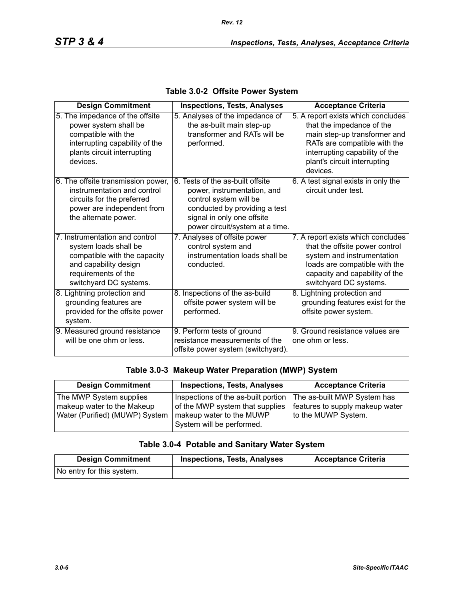| <b>Design Commitment</b>                                                                                                                                          | <b>Inspections, Tests, Analyses</b>                                                                                                                                                         | <b>Acceptance Criteria</b>                                                                                                                                                                                    |
|-------------------------------------------------------------------------------------------------------------------------------------------------------------------|---------------------------------------------------------------------------------------------------------------------------------------------------------------------------------------------|---------------------------------------------------------------------------------------------------------------------------------------------------------------------------------------------------------------|
| 5. The impedance of the offsite<br>power system shall be<br>compatible with the<br>interrupting capability of the<br>plants circuit interrupting<br>devices.      | 5. Analyses of the impedance of<br>the as-built main step-up<br>transformer and RATs will be<br>performed.                                                                                  | 5. A report exists which concludes<br>that the impedance of the<br>main step-up transformer and<br>RATs are compatible with the<br>interrupting capability of the<br>plant's circuit interrupting<br>devices. |
| 6. The offsite transmission power,<br>instrumentation and control<br>circuits for the preferred<br>power are independent from<br>the alternate power.             | 6. Tests of the as-built offsite<br>power, instrumentation, and<br>control system will be<br>conducted by providing a test<br>signal in only one offsite<br>power circuit/system at a time. | 6. A test signal exists in only the<br>circuit under test.                                                                                                                                                    |
| 7. Instrumentation and control<br>system loads shall be<br>compatible with the capacity<br>and capability design<br>requirements of the<br>switchyard DC systems. | 7. Analyses of offsite power<br>control system and<br>instrumentation loads shall be<br>conducted.                                                                                          | 7. A report exists which concludes<br>that the offsite power control<br>system and instrumentation<br>loads are compatible with the<br>capacity and capability of the<br>switchyard DC systems.               |
| 8. Lightning protection and<br>grounding features are<br>provided for the offsite power<br>system.                                                                | 8. Inspections of the as-build<br>offsite power system will be<br>performed.                                                                                                                | 8. Lightning protection and<br>grounding features exist for the<br>offsite power system.                                                                                                                      |
| 9. Measured ground resistance<br>will be one ohm or less.                                                                                                         | 9. Perform tests of ground<br>resistance measurements of the<br>offsite power system (switchyard).                                                                                          | 9. Ground resistance values are<br>one ohm or less.                                                                                                                                                           |

#### **Table 3.0-2 Offsite Power System**

#### **Table 3.0-3 Makeup Water Preparation (MWP) System**

| <b>Design Commitment</b>       | <b>Inspections, Tests, Analyses</b> | <b>Acceptance Criteria</b>      |
|--------------------------------|-------------------------------------|---------------------------------|
| The MWP System supplies        | Inspections of the as-built portion | The as-built MWP System has     |
| makeup water to the Makeup     | of the MWP system that supplies     | features to supply makeup water |
| Water (Purified) (MUWP) System | makeup water to the MUWP            | to the MUWP System.             |
|                                | System will be performed.           |                                 |

## **Table 3.0-4 Potable and Sanitary Water System**

| <b>Design Commitment</b>  | <b>Inspections, Tests, Analyses</b> | <b>Acceptance Criteria</b> |
|---------------------------|-------------------------------------|----------------------------|
| No entry for this system. |                                     |                            |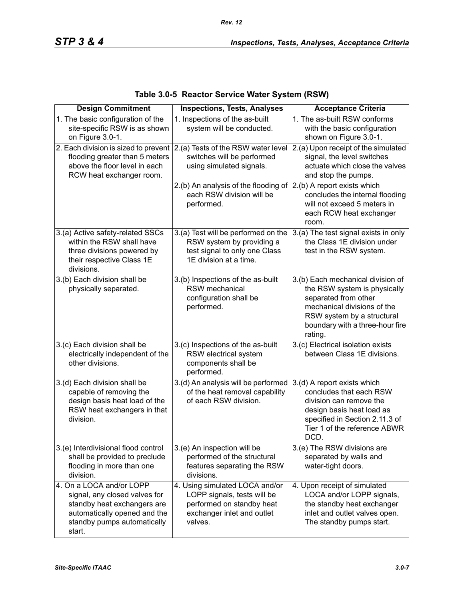| <b>Design Commitment</b>                                                                                                                                               | <b>Inspections, Tests, Analyses</b>                                                                                                 | <b>Acceptance Criteria</b>                                                                                                                                                                           |
|------------------------------------------------------------------------------------------------------------------------------------------------------------------------|-------------------------------------------------------------------------------------------------------------------------------------|------------------------------------------------------------------------------------------------------------------------------------------------------------------------------------------------------|
| 1. The basic configuration of the<br>site-specific RSW is as shown<br>on Figure 3.0-1.                                                                                 | 1. Inspections of the as-built<br>system will be conducted.                                                                         | 1. The as-built RSW conforms<br>with the basic configuration<br>shown on Figure 3.0-1.                                                                                                               |
| 2. Each division is sized to prevent 2.(a) Tests of the RSW water level<br>flooding greater than 5 meters<br>above the floor level in each<br>RCW heat exchanger room. | switches will be performed<br>using simulated signals.                                                                              | 2.(a) Upon receipt of the simulated<br>signal, the level switches<br>actuate which close the valves<br>and stop the pumps.                                                                           |
|                                                                                                                                                                        | 2.(b) An analysis of the flooding of<br>each RSW division will be<br>performed.                                                     | 2.(b) A report exists which<br>concludes the internal flooding<br>will not exceed 5 meters in<br>each RCW heat exchanger<br>room.                                                                    |
| 3.(a) Active safety-related SSCs<br>within the RSW shall have<br>three divisions powered by<br>their respective Class 1E<br>divisions.                                 | 3.(a) Test will be performed on the<br>RSW system by providing a<br>test signal to only one Class<br>1E division at a time.         | 3.(a) The test signal exists in only<br>the Class 1E division under<br>test in the RSW system.                                                                                                       |
| 3.(b) Each division shall be<br>physically separated.                                                                                                                  | 3.(b) Inspections of the as-built<br><b>RSW</b> mechanical<br>configuration shall be<br>performed.                                  | 3.(b) Each mechanical division of<br>the RSW system is physically<br>separated from other<br>mechanical divisions of the<br>RSW system by a structural<br>boundary with a three-hour fire<br>rating. |
| 3.(c) Each division shall be<br>electrically independent of the<br>other divisions.                                                                                    | 3.(c) Inspections of the as-built<br>RSW electrical system<br>components shall be<br>performed.                                     | 3.(c) Electrical isolation exists<br>between Class 1E divisions.                                                                                                                                     |
| 3.(d) Each division shall be<br>capable of removing the<br>design basis heat load of the<br>RSW heat exchangers in that<br>division.                                   | 3.(d) An analysis will be performed<br>of the heat removal capability<br>of each RSW division.                                      | 3.(d) A report exists which<br>concludes that each RSW<br>division can remove the<br>design basis heat load as<br>specified in Section 2.11.3 of<br>Tier 1 of the reference ABWR<br>DCD.             |
| 3.(e) Interdivisional flood control<br>shall be provided to preclude<br>flooding in more than one<br>division.                                                         | 3.(e) An inspection will be<br>performed of the structural<br>features separating the RSW<br>divisions.                             | 3.(e) The RSW divisions are<br>separated by walls and<br>water-tight doors.                                                                                                                          |
| 4. On a LOCA and/or LOPP<br>signal, any closed valves for<br>standby heat exchangers are<br>automatically opened and the<br>standby pumps automatically<br>start.      | 4. Using simulated LOCA and/or<br>LOPP signals, tests will be<br>performed on standby heat<br>exchanger inlet and outlet<br>valves. | 4. Upon receipt of simulated<br>LOCA and/or LOPP signals,<br>the standby heat exchanger<br>inlet and outlet valves open.<br>The standby pumps start.                                                 |

### **Table 3.0-5 Reactor Service Water System (RSW)**

*Rev. 12*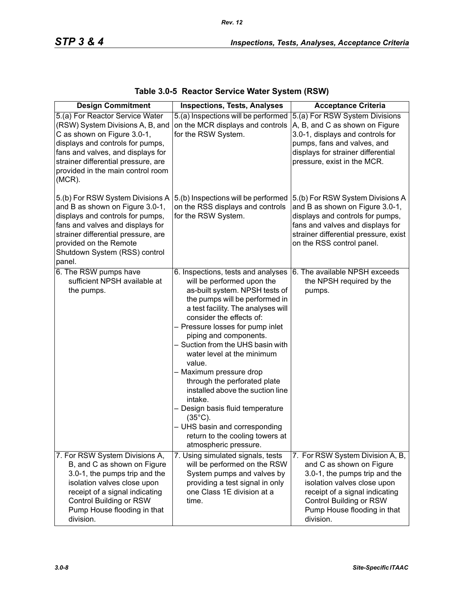| <b>Design Commitment</b>                                                                                                                                                                                                                                             | <b>Inspections, Tests, Analyses</b>                                                                                                                                                                                                                                                                                                                                                                                                                                                                                                                                                                               | <b>Acceptance Criteria</b>                                                                                                                                                                                                            |
|----------------------------------------------------------------------------------------------------------------------------------------------------------------------------------------------------------------------------------------------------------------------|-------------------------------------------------------------------------------------------------------------------------------------------------------------------------------------------------------------------------------------------------------------------------------------------------------------------------------------------------------------------------------------------------------------------------------------------------------------------------------------------------------------------------------------------------------------------------------------------------------------------|---------------------------------------------------------------------------------------------------------------------------------------------------------------------------------------------------------------------------------------|
| 5.(a) For Reactor Service Water<br>(RSW) System Divisions A, B, and<br>C as shown on Figure 3.0-1,<br>displays and controls for pumps,<br>fans and valves, and displays for<br>strainer differential pressure, are<br>provided in the main control room<br>$(MCR)$ . | 5.(a) Inspections will be performed<br>on the MCR displays and controls<br>for the RSW System.                                                                                                                                                                                                                                                                                                                                                                                                                                                                                                                    | 5.(a) For RSW System Divisions<br>A, B, and C as shown on Figure<br>3.0-1, displays and controls for<br>pumps, fans and valves, and<br>displays for strainer differential<br>pressure, exist in the MCR.                              |
| 5.(b) For RSW System Divisions A<br>and B as shown on Figure 3.0-1,<br>displays and controls for pumps,<br>fans and valves and displays for<br>strainer differential pressure, are<br>provided on the Remote<br>Shutdown System (RSS) control<br>panel.              | 5.(b) Inspections will be performed<br>on the RSS displays and controls<br>for the RSW System.                                                                                                                                                                                                                                                                                                                                                                                                                                                                                                                    | 5.(b) For RSW System Divisions A<br>and B as shown on Figure 3.0-1,<br>displays and controls for pumps,<br>fans and valves and displays for<br>strainer differential pressure, exist<br>on the RSS control panel.                     |
| 6. The RSW pumps have<br>sufficient NPSH available at<br>the pumps.                                                                                                                                                                                                  | 6. Inspections, tests and analyses<br>will be performed upon the<br>as-built system. NPSH tests of<br>the pumps will be performed in<br>a test facility. The analyses will<br>consider the effects of:<br>- Pressure losses for pump inlet<br>piping and components.<br>- Suction from the UHS basin with<br>water level at the minimum<br>value.<br>- Maximum pressure drop<br>through the perforated plate<br>installed above the suction line<br>intake.<br>- Design basis fluid temperature<br>$(35^{\circ}C)$ .<br>- UHS basin and corresponding<br>return to the cooling towers at<br>atmospheric pressure. | 6. The available NPSH exceeds<br>the NPSH required by the<br>pumps.                                                                                                                                                                   |
| 7. For RSW System Divisions A,<br>B, and C as shown on Figure<br>3.0-1, the pumps trip and the<br>isolation valves close upon<br>receipt of a signal indicating<br>Control Building or RSW<br>Pump House flooding in that<br>division.                               | 7. Using simulated signals, tests<br>will be performed on the RSW<br>System pumps and valves by<br>providing a test signal in only<br>one Class 1E division at a<br>time.                                                                                                                                                                                                                                                                                                                                                                                                                                         | 7. For RSW System Division A, B,<br>and C as shown on Figure<br>3.0-1, the pumps trip and the<br>isolation valves close upon<br>receipt of a signal indicating<br>Control Building or RSW<br>Pump House flooding in that<br>division. |

## **Table 3.0-5 Reactor Service Water System (RSW)**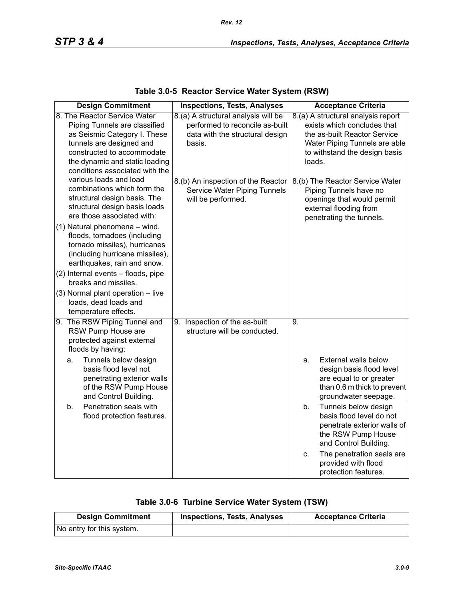| <b>Design Commitment</b>                                                                                                                                                                                                    | <b>Inspections, Tests, Analyses</b>                                                                                 | <b>Acceptance Criteria</b>                                                                                                                                                    |
|-----------------------------------------------------------------------------------------------------------------------------------------------------------------------------------------------------------------------------|---------------------------------------------------------------------------------------------------------------------|-------------------------------------------------------------------------------------------------------------------------------------------------------------------------------|
| 8. The Reactor Service Water<br>Piping Tunnels are classified<br>as Seismic Category I. These<br>tunnels are designed and<br>constructed to accommodate<br>the dynamic and static loading<br>conditions associated with the | 8.(a) A structural analysis will be<br>performed to reconcile as-built<br>data with the structural design<br>basis. | 8.(a) A structural analysis report<br>exists which concludes that<br>the as-built Reactor Service<br>Water Piping Tunnels are able<br>to withstand the design basis<br>loads. |
| various loads and load<br>combinations which form the<br>structural design basis. The<br>structural design basis loads<br>are those associated with:                                                                        | 8.(b) An inspection of the Reactor<br>Service Water Piping Tunnels<br>will be performed.                            | 8.(b) The Reactor Service Water<br>Piping Tunnels have no<br>openings that would permit<br>external flooding from<br>penetrating the tunnels.                                 |
| (1) Natural phenomena - wind,<br>floods, tornadoes (including<br>tornado missiles), hurricanes<br>(including hurricane missiles),<br>earthquakes, rain and snow.                                                            |                                                                                                                     |                                                                                                                                                                               |
| (2) Internal events - floods, pipe<br>breaks and missiles.                                                                                                                                                                  |                                                                                                                     |                                                                                                                                                                               |
| (3) Normal plant operation - live<br>loads, dead loads and<br>temperature effects.                                                                                                                                          |                                                                                                                     |                                                                                                                                                                               |
| 9. The RSW Piping Tunnel and<br>RSW Pump House are<br>protected against external<br>floods by having:                                                                                                                       | 9. Inspection of the as-built<br>structure will be conducted.                                                       | 9.                                                                                                                                                                            |
| Tunnels below design<br>a.<br>basis flood level not<br>penetrating exterior walls<br>of the RSW Pump House<br>and Control Building.                                                                                         |                                                                                                                     | External walls below<br>a.<br>design basis flood level<br>are equal to or greater<br>than 0.6 m thick to prevent<br>groundwater seepage.                                      |
| Penetration seals with<br>b.<br>flood protection features.                                                                                                                                                                  |                                                                                                                     | Tunnels below design<br>b.<br>basis flood level do not<br>penetrate exterior walls of<br>the RSW Pump House<br>and Control Building.                                          |
|                                                                                                                                                                                                                             |                                                                                                                     | The penetration seals are<br>C.<br>provided with flood<br>protection features.                                                                                                |

## **Table 3.0-5 Reactor Service Water System (RSW)**

| Table 3.0-6 Turbine Service Water System (TSW) |
|------------------------------------------------|
|------------------------------------------------|

| <b>Design Commitment</b>  | <b>Inspections, Tests, Analyses</b> | <b>Acceptance Criteria</b> |
|---------------------------|-------------------------------------|----------------------------|
| No entry for this system. |                                     |                            |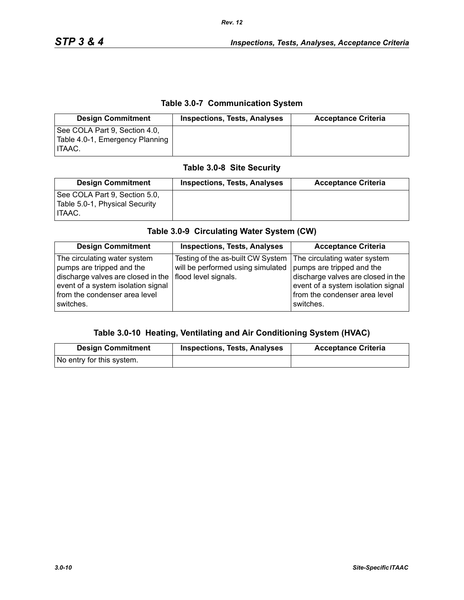### **Table 3.0-7 Communication System**

| <b>Design Commitment</b>                                                          | <b>Inspections, Tests, Analyses</b> | <b>Acceptance Criteria</b> |
|-----------------------------------------------------------------------------------|-------------------------------------|----------------------------|
| See COLA Part 9, Section 4.0,<br>Table 4.0-1, Emergency Planning<br><b>ITAAC.</b> |                                     |                            |

## **Table 3.0-8 Site Security**

| <b>Design Commitment</b>                                                  | <b>Inspections, Tests, Analyses</b> | <b>Acceptance Criteria</b> |
|---------------------------------------------------------------------------|-------------------------------------|----------------------------|
| See COLA Part 9, Section 5.0,<br>Table 5.0-1, Physical Security<br>HTAAC. |                                     |                            |

# **Table 3.0-9 Circulating Water System (CW)**

| <b>Design Commitment</b>                                                                                                                                                                                     | <b>Inspections, Tests, Analyses</b>                                    | <b>Acceptance Criteria</b>                                                                                                                                                          |
|--------------------------------------------------------------------------------------------------------------------------------------------------------------------------------------------------------------|------------------------------------------------------------------------|-------------------------------------------------------------------------------------------------------------------------------------------------------------------------------------|
| The circulating water system<br>pumps are tripped and the<br>discharge valves are closed in the $ $ flood level signals.<br>event of a system isolation signal<br>from the condenser area level<br>switches. | Testing of the as-built CW System<br>will be performed using simulated | The circulating water system<br>pumps are tripped and the<br>discharge valves are closed in the<br>event of a system isolation signal<br>from the condenser area level<br>switches. |

#### **Table 3.0-10 Heating, Ventilating and Air Conditioning System (HVAC)**

| <b>Design Commitment</b>  | <b>Inspections, Tests, Analyses</b> | <b>Acceptance Criteria</b> |
|---------------------------|-------------------------------------|----------------------------|
| No entry for this system. |                                     |                            |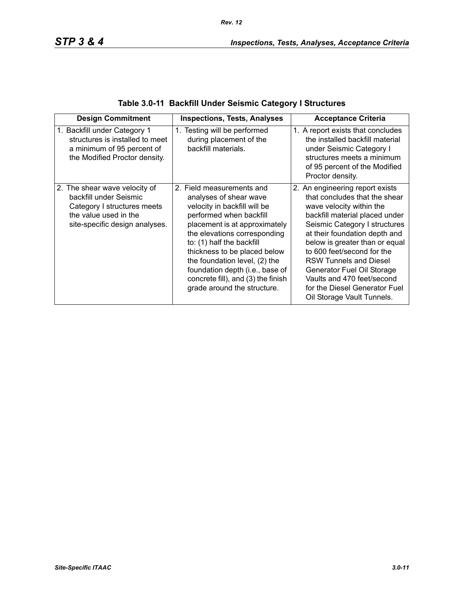|  |  | Table 3.0-11 Backfill Under Seismic Category I Structures |
|--|--|-----------------------------------------------------------|
|--|--|-----------------------------------------------------------|

| <b>Design Commitment</b>                                                                                                                          | <b>Inspections, Tests, Analyses</b>                                                                                                                                                                                                                                                                                                                                                   | <b>Acceptance Criteria</b>                                                                                                                                                                                                                                                                                                                                                                                                   |
|---------------------------------------------------------------------------------------------------------------------------------------------------|---------------------------------------------------------------------------------------------------------------------------------------------------------------------------------------------------------------------------------------------------------------------------------------------------------------------------------------------------------------------------------------|------------------------------------------------------------------------------------------------------------------------------------------------------------------------------------------------------------------------------------------------------------------------------------------------------------------------------------------------------------------------------------------------------------------------------|
| 1. Backfill under Category 1<br>structures is installed to meet<br>a minimum of 95 percent of<br>the Modified Proctor density.                    | 1. Testing will be performed<br>during placement of the<br>backfill materials.                                                                                                                                                                                                                                                                                                        | 1. A report exists that concludes<br>the installed backfill material<br>under Seismic Category I<br>structures meets a minimum<br>of 95 percent of the Modified<br>Proctor density.                                                                                                                                                                                                                                          |
| 2. The shear wave velocity of<br>backfill under Seismic<br>Category I structures meets<br>the value used in the<br>site-specific design analyses. | 2. Field measurements and<br>analyses of shear wave<br>velocity in backfill will be<br>performed when backfill<br>placement is at approximately<br>the elevations corresponding<br>to: (1) half the backfill<br>thickness to be placed below<br>the foundation level, (2) the<br>foundation depth (i.e., base of<br>concrete fill), and (3) the finish<br>grade around the structure. | 2. An engineering report exists<br>that concludes that the shear<br>wave velocity within the<br>backfill material placed under<br>Seismic Category I structures<br>at their foundation depth and<br>below is greater than or equal<br>to 600 feet/second for the<br><b>RSW Tunnels and Diesel</b><br>Generator Fuel Oil Storage<br>Vaults and 470 feet/second<br>for the Diesel Generator Fuel<br>Oil Storage Vault Tunnels. |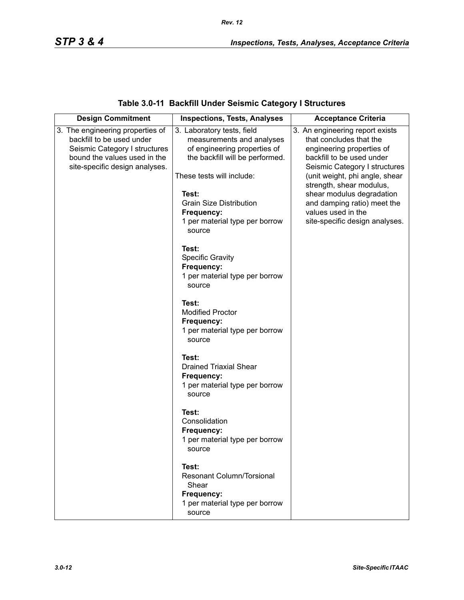## **Table 3.0-11 Backfill Under Seismic Category I Structures**

| <b>Design Commitment</b>                                                                       | <b>Inspections, Tests, Analyses</b>                                                                          | <b>Acceptance Criteria</b>                                                                                                                                                           |
|------------------------------------------------------------------------------------------------|--------------------------------------------------------------------------------------------------------------|--------------------------------------------------------------------------------------------------------------------------------------------------------------------------------------|
| 3. The engineering properties of<br>backfill to be used under<br>Seismic Category I structures | 3. Laboratory tests, field<br>measurements and analyses<br>of engineering properties of                      | 3. An engineering report exists<br>that concludes that the<br>engineering properties of                                                                                              |
| bound the values used in the<br>site-specific design analyses.                                 | the backfill will be performed.<br>These tests will include:<br>Test:<br><b>Grain Size Distribution</b>      | backfill to be used under<br>Seismic Category I structures<br>(unit weight, phi angle, shear<br>strength, shear modulus,<br>shear modulus degradation<br>and damping ratio) meet the |
|                                                                                                | Frequency:<br>1 per material type per borrow<br>source                                                       | values used in the<br>site-specific design analyses.                                                                                                                                 |
|                                                                                                | Test:<br><b>Specific Gravity</b><br>Frequency:<br>1 per material type per borrow<br>source                   |                                                                                                                                                                                      |
|                                                                                                | Test:<br><b>Modified Proctor</b><br>Frequency:<br>1 per material type per borrow<br>source                   |                                                                                                                                                                                      |
|                                                                                                | Test:<br><b>Drained Triaxial Shear</b><br>Frequency:<br>1 per material type per borrow<br>source             |                                                                                                                                                                                      |
|                                                                                                | Test:<br>Consolidation<br>Frequency:<br>1 per material type per borrow<br>source                             |                                                                                                                                                                                      |
|                                                                                                | Test:<br><b>Resonant Column/Torsional</b><br>Shear<br>Frequency:<br>1 per material type per borrow<br>source |                                                                                                                                                                                      |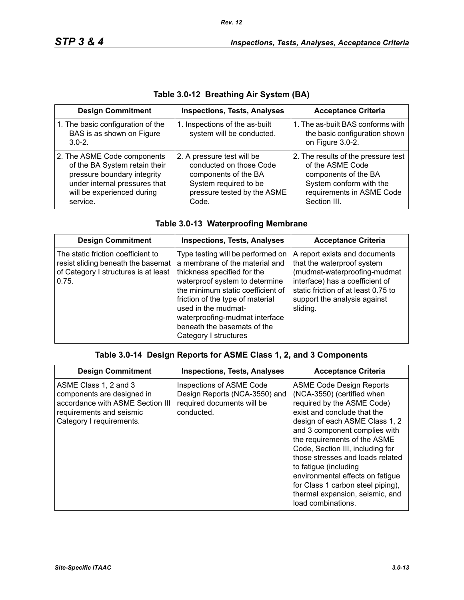| <b>Design Commitment</b>                                                                                                                                               | <b>Inspections, Tests, Analyses</b>                                                                                                            | <b>Acceptance Criteria</b>                                                                                                                              |
|------------------------------------------------------------------------------------------------------------------------------------------------------------------------|------------------------------------------------------------------------------------------------------------------------------------------------|---------------------------------------------------------------------------------------------------------------------------------------------------------|
| 1. The basic configuration of the<br>BAS is as shown on Figure<br>$3.0 - 2.$                                                                                           | 1. Inspections of the as-built<br>system will be conducted.                                                                                    | 1. The as-built BAS conforms with<br>the basic configuration shown<br>on Figure 3.0-2.                                                                  |
| 2. The ASME Code components<br>of the BA System retain their<br>pressure boundary integrity<br>under internal pressures that<br>will be experienced during<br>service. | 2. A pressure test will be<br>conducted on those Code<br>components of the BA<br>System required to be<br>pressure tested by the ASME<br>Code. | 2. The results of the pressure test<br>of the ASME Code<br>components of the BA<br>System conform with the<br>requirements in ASME Code<br>Section III. |

## **Table 3.0-12 Breathing Air System (BA)**

|  |  | Table 3.0-13 Waterproofing Membrane |
|--|--|-------------------------------------|
|  |  |                                     |

| <b>Design Commitment</b>                                                                                                  | <b>Inspections, Tests, Analyses</b>                                                                                                                                                                                                                                                                                            | <b>Acceptance Criteria</b>                                                                                                                                                                                        |
|---------------------------------------------------------------------------------------------------------------------------|--------------------------------------------------------------------------------------------------------------------------------------------------------------------------------------------------------------------------------------------------------------------------------------------------------------------------------|-------------------------------------------------------------------------------------------------------------------------------------------------------------------------------------------------------------------|
| The static friction coefficient to<br>resist sliding beneath the basemat<br>of Category I structures is at least<br>0.75. | Type testing will be performed on<br>a membrane of the material and<br>thickness specified for the<br>waterproof system to determine<br>the minimum static coefficient of<br>friction of the type of material<br>used in the mudmat-<br>waterproofing-mudmat interface<br>beneath the basemats of the<br>Category I structures | A report exists and documents<br>that the waterproof system<br>(mudmat-waterproofing-mudmat<br>interface) has a coefficient of<br>static friction of at least 0.75 to<br>support the analysis against<br>sliding. |

### **Table 3.0-14 Design Reports for ASME Class 1, 2, and 3 Components**

| <b>Design Commitment</b>                                                                                                                        | <b>Inspections, Tests, Analyses</b>                                                                   | <b>Acceptance Criteria</b>                                                                                                                                                                                                                                                                                                                                                                                                                                       |
|-------------------------------------------------------------------------------------------------------------------------------------------------|-------------------------------------------------------------------------------------------------------|------------------------------------------------------------------------------------------------------------------------------------------------------------------------------------------------------------------------------------------------------------------------------------------------------------------------------------------------------------------------------------------------------------------------------------------------------------------|
| ASME Class 1, 2 and 3<br>components are designed in<br>accordance with ASME Section III<br>requirements and seismic<br>Category I requirements. | Inspections of ASME Code<br>Design Reports (NCA-3550) and<br>required documents will be<br>conducted. | <b>ASME Code Design Reports</b><br>(NCA-3550) (certified when<br>required by the ASME Code)<br>exist and conclude that the<br>design of each ASME Class 1, 2<br>and 3 component complies with<br>the requirements of the ASME<br>Code, Section III, including for<br>those stresses and loads related<br>to fatigue (including<br>environmental effects on fatigue<br>for Class 1 carbon steel piping),<br>thermal expansion, seismic, and<br>load combinations. |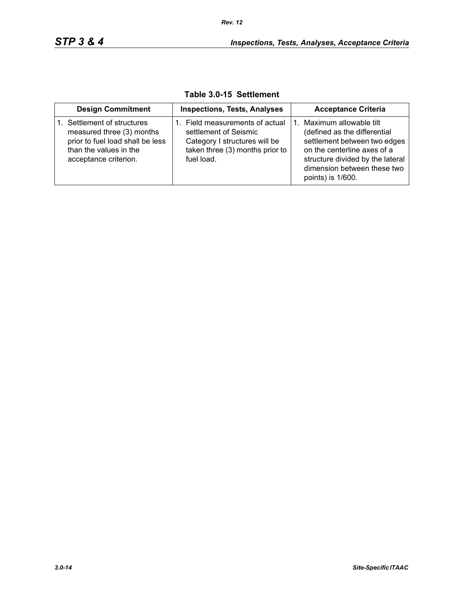| <b>Design Commitment</b>                                                                                                                     | <b>Inspections, Tests, Analyses</b>                                                                                                        | <b>Acceptance Criteria</b>                                                                                                                                                                                    |
|----------------------------------------------------------------------------------------------------------------------------------------------|--------------------------------------------------------------------------------------------------------------------------------------------|---------------------------------------------------------------------------------------------------------------------------------------------------------------------------------------------------------------|
| Settlement of structures<br>measured three (3) months<br>prior to fuel load shall be less<br>than the values in the<br>acceptance criterion. | 1. Field measurements of actual<br>settlement of Seismic<br>Category I structures will be<br>taken three (3) months prior to<br>fuel load. | Maximum allowable tilt<br>(defined as the differential<br>settlement between two edges<br>on the centerline axes of a<br>structure divided by the lateral<br>dimension between these two<br>points) is 1/600. |

**Table 3.0-15 Settlement**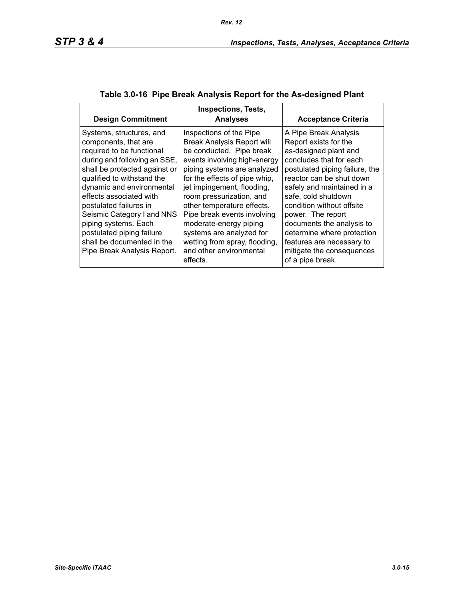| <b>Design Commitment</b>                                                                                                                                                                                                                                                                                                                                                                                       | <b>Inspections, Tests,</b><br><b>Analyses</b>                                                                                                                                                                                                                                                                                                                                                                                                 | <b>Acceptance Criteria</b>                                                                                                                                                                                                                                                                                                                                                                                       |
|----------------------------------------------------------------------------------------------------------------------------------------------------------------------------------------------------------------------------------------------------------------------------------------------------------------------------------------------------------------------------------------------------------------|-----------------------------------------------------------------------------------------------------------------------------------------------------------------------------------------------------------------------------------------------------------------------------------------------------------------------------------------------------------------------------------------------------------------------------------------------|------------------------------------------------------------------------------------------------------------------------------------------------------------------------------------------------------------------------------------------------------------------------------------------------------------------------------------------------------------------------------------------------------------------|
| Systems, structures, and<br>components, that are<br>required to be functional<br>during and following an SSE,<br>shall be protected against or<br>qualified to withstand the<br>dynamic and environmental<br>effects associated with<br>postulated failures in<br>Seismic Category I and NNS<br>piping systems. Each<br>postulated piping failure<br>shall be documented in the<br>Pipe Break Analysis Report. | Inspections of the Pipe<br><b>Break Analysis Report will</b><br>be conducted. Pipe break<br>events involving high-energy<br>piping systems are analyzed<br>for the effects of pipe whip,<br>jet impingement, flooding,<br>room pressurization, and<br>other temperature effects.<br>Pipe break events involving<br>moderate-energy piping<br>systems are analyzed for<br>wetting from spray, flooding,<br>and other environmental<br>effects. | A Pipe Break Analysis<br>Report exists for the<br>as-designed plant and<br>concludes that for each<br>postulated piping failure, the<br>reactor can be shut down<br>safely and maintained in a<br>safe, cold shutdown<br>condition without offsite<br>power. The report<br>documents the analysis to<br>determine where protection<br>features are necessary to<br>mitigate the consequences<br>of a pipe break. |

## **Table 3.0-16 Pipe Break Analysis Report for the As-designed Plant**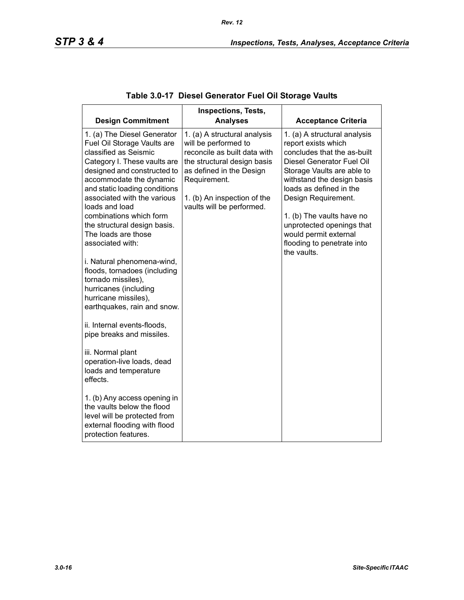| <b>Design Commitment</b>                                                                                                                                                                                                                                                                   | <b>Inspections, Tests,</b><br><b>Analyses</b>                                                                                                                                                                               | <b>Acceptance Criteria</b>                                                                                                                                                                                                                                 |
|--------------------------------------------------------------------------------------------------------------------------------------------------------------------------------------------------------------------------------------------------------------------------------------------|-----------------------------------------------------------------------------------------------------------------------------------------------------------------------------------------------------------------------------|------------------------------------------------------------------------------------------------------------------------------------------------------------------------------------------------------------------------------------------------------------|
| 1. (a) The Diesel Generator<br>Fuel Oil Storage Vaults are<br>classified as Seismic<br>Category I. These vaults are<br>designed and constructed to<br>accommodate the dynamic<br>and static loading conditions<br>associated with the various<br>loads and load<br>combinations which form | 1. (a) A structural analysis<br>will be performed to<br>reconcile as built data with<br>the structural design basis<br>as defined in the Design<br>Requirement.<br>1. (b) An inspection of the<br>vaults will be performed. | 1. (a) A structural analysis<br>report exists which<br>concludes that the as-built<br>Diesel Generator Fuel Oil<br>Storage Vaults are able to<br>withstand the design basis<br>loads as defined in the<br>Design Requirement.<br>1. (b) The vaults have no |
| the structural design basis.<br>The loads are those<br>associated with:                                                                                                                                                                                                                    |                                                                                                                                                                                                                             | unprotected openings that<br>would permit external<br>flooding to penetrate into<br>the vaults.                                                                                                                                                            |
| i. Natural phenomena-wind,<br>floods, tornadoes (including<br>tornado missiles),<br>hurricanes (including<br>hurricane missiles),<br>earthquakes, rain and snow.                                                                                                                           |                                                                                                                                                                                                                             |                                                                                                                                                                                                                                                            |
| ii. Internal events-floods,<br>pipe breaks and missiles.                                                                                                                                                                                                                                   |                                                                                                                                                                                                                             |                                                                                                                                                                                                                                                            |
| iii. Normal plant<br>operation-live loads, dead<br>loads and temperature<br>effects.                                                                                                                                                                                                       |                                                                                                                                                                                                                             |                                                                                                                                                                                                                                                            |
| 1. (b) Any access opening in<br>the vaults below the flood<br>level will be protected from<br>external flooding with flood<br>protection features.                                                                                                                                         |                                                                                                                                                                                                                             |                                                                                                                                                                                                                                                            |

## **Table 3.0-17 Diesel Generator Fuel Oil Storage Vaults**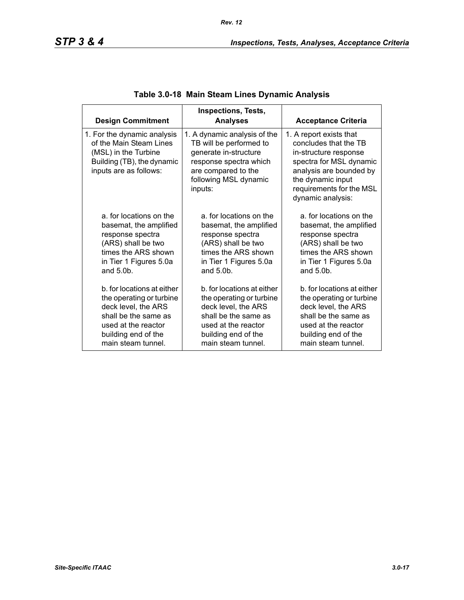| <b>Design Commitment</b>                                                                                                               | Inspections, Tests,<br><b>Analyses</b>                                                                                                                                | <b>Acceptance Criteria</b>                                                                                                                                                                            |
|----------------------------------------------------------------------------------------------------------------------------------------|-----------------------------------------------------------------------------------------------------------------------------------------------------------------------|-------------------------------------------------------------------------------------------------------------------------------------------------------------------------------------------------------|
| 1. For the dynamic analysis<br>of the Main Steam Lines<br>(MSL) in the Turbine<br>Building (TB), the dynamic<br>inputs are as follows: | 1. A dynamic analysis of the<br>TB will be performed to<br>generate in-structure<br>response spectra which<br>are compared to the<br>following MSL dynamic<br>inputs: | 1. A report exists that<br>concludes that the TB<br>in-structure response<br>spectra for MSL dynamic<br>analysis are bounded by<br>the dynamic input<br>requirements for the MSL<br>dynamic analysis: |
| a. for locations on the                                                                                                                | a. for locations on the                                                                                                                                               | a. for locations on the                                                                                                                                                                               |
| basemat, the amplified                                                                                                                 | basemat, the amplified                                                                                                                                                | basemat, the amplified                                                                                                                                                                                |
| response spectra                                                                                                                       | response spectra                                                                                                                                                      | response spectra                                                                                                                                                                                      |
| (ARS) shall be two                                                                                                                     | (ARS) shall be two                                                                                                                                                    | (ARS) shall be two                                                                                                                                                                                    |
| times the ARS shown                                                                                                                    | times the ARS shown                                                                                                                                                   | times the ARS shown                                                                                                                                                                                   |
| in Tier 1 Figures 5.0a                                                                                                                 | in Tier 1 Figures 5.0a                                                                                                                                                | in Tier 1 Figures 5.0a                                                                                                                                                                                |
| and $5.0b$ .                                                                                                                           | and $5.0b$ .                                                                                                                                                          | and $5.0b$ .                                                                                                                                                                                          |
| b. for locations at either                                                                                                             | b, for locations at either                                                                                                                                            | b, for locations at either                                                                                                                                                                            |
| the operating or turbine                                                                                                               | the operating or turbine                                                                                                                                              | the operating or turbine                                                                                                                                                                              |
| deck level, the ARS                                                                                                                    | deck level, the ARS                                                                                                                                                   | deck level, the ARS                                                                                                                                                                                   |
| shall be the same as                                                                                                                   | shall be the same as                                                                                                                                                  | shall be the same as                                                                                                                                                                                  |
| used at the reactor                                                                                                                    | used at the reactor                                                                                                                                                   | used at the reactor                                                                                                                                                                                   |
| building end of the                                                                                                                    | building end of the                                                                                                                                                   | building end of the                                                                                                                                                                                   |
| main steam tunnel.                                                                                                                     | main steam tunnel.                                                                                                                                                    | main steam tunnel.                                                                                                                                                                                    |

## **Table 3.0-18 Main Steam Lines Dynamic Analysis**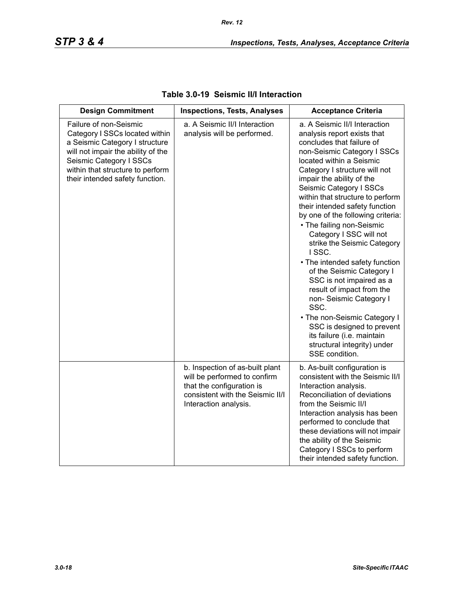| <b>Design Commitment</b>                                                                                                                                                                                                           | <b>Inspections, Tests, Analyses</b>                                                                                                                       | <b>Acceptance Criteria</b>                                                                                                                                                                                                                                                                                                                                                                                                                                                                                                                                                                                                                                                                                                                                       |
|------------------------------------------------------------------------------------------------------------------------------------------------------------------------------------------------------------------------------------|-----------------------------------------------------------------------------------------------------------------------------------------------------------|------------------------------------------------------------------------------------------------------------------------------------------------------------------------------------------------------------------------------------------------------------------------------------------------------------------------------------------------------------------------------------------------------------------------------------------------------------------------------------------------------------------------------------------------------------------------------------------------------------------------------------------------------------------------------------------------------------------------------------------------------------------|
| Failure of non-Seismic<br>Category I SSCs located within<br>a Seismic Category I structure<br>will not impair the ability of the<br>Seismic Category I SSCs<br>within that structure to perform<br>their intended safety function. | a. A Seismic II/I Interaction<br>analysis will be performed.                                                                                              | a. A Seismic II/I Interaction<br>analysis report exists that<br>concludes that failure of<br>non-Seismic Category I SSCs<br>located within a Seismic<br>Category I structure will not<br>impair the ability of the<br>Seismic Category I SSCs<br>within that structure to perform<br>their intended safety function<br>by one of the following criteria:<br>• The failing non-Seismic<br>Category I SSC will not<br>strike the Seismic Category<br>ISSC.<br>• The intended safety function<br>of the Seismic Category I<br>SSC is not impaired as a<br>result of impact from the<br>non- Seismic Category I<br>SSC.<br>• The non-Seismic Category I<br>SSC is designed to prevent<br>its failure (i.e. maintain<br>structural integrity) under<br>SSE condition. |
|                                                                                                                                                                                                                                    | b. Inspection of as-built plant<br>will be performed to confirm<br>that the configuration is<br>consistent with the Seismic II/I<br>Interaction analysis. | b. As-built configuration is<br>consistent with the Seismic II/I<br>Interaction analysis.<br>Reconciliation of deviations<br>from the Seismic II/I<br>Interaction analysis has been<br>performed to conclude that<br>these deviations will not impair<br>the ability of the Seismic<br>Category I SSCs to perform<br>their intended safety function.                                                                                                                                                                                                                                                                                                                                                                                                             |

## **Table 3.0-19 Seismic II/I Interaction**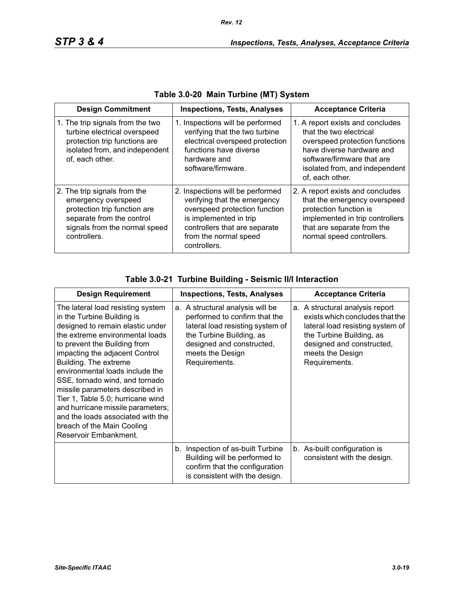| <b>Design Commitment</b>                                                                                                                                          | <b>Inspections, Tests, Analyses</b>                                                                                                                                                                   | <b>Acceptance Criteria</b>                                                                                                                                                                                    |
|-------------------------------------------------------------------------------------------------------------------------------------------------------------------|-------------------------------------------------------------------------------------------------------------------------------------------------------------------------------------------------------|---------------------------------------------------------------------------------------------------------------------------------------------------------------------------------------------------------------|
| 1. The trip signals from the two<br>turbine electrical overspeed<br>protection trip functions are<br>isolated from, and independent<br>of, each other.            | 1. Inspections will be performed<br>verifying that the two turbine<br>electrical overspeed protection<br>functions have diverse<br>hardware and<br>software/firmware.                                 | 1. A report exists and concludes<br>that the two electrical<br>overspeed protection functions<br>have diverse hardware and<br>software/firmware that are<br>isolated from, and independent<br>of, each other. |
| 2. The trip signals from the<br>emergency overspeed<br>protection trip function are<br>separate from the control<br>signals from the normal speed<br>controllers. | 2. Inspections will be performed<br>verifying that the emergency<br>overspeed protection function<br>is implemented in trip<br>controllers that are separate<br>from the normal speed<br>controllers. | 2. A report exists and concludes<br>that the emergency overspeed<br>protection function is<br>implemented in trip controllers<br>that are separate from the<br>normal speed controllers.                      |

| Table 3.0-20 Main Turbine (MT) System |  |  |  |  |
|---------------------------------------|--|--|--|--|
|---------------------------------------|--|--|--|--|

| Table 3.0-21 Turbine Building - Seismic II/I Interaction |  |
|----------------------------------------------------------|--|
|----------------------------------------------------------|--|

| <b>Design Requirement</b>                                                                                                                                                                                                                                                                                                                                                                                                                                                                                       | <b>Inspections, Tests, Analyses</b>                                                                                                                                                                 | <b>Acceptance Criteria</b>                                                                                                                                                                           |
|-----------------------------------------------------------------------------------------------------------------------------------------------------------------------------------------------------------------------------------------------------------------------------------------------------------------------------------------------------------------------------------------------------------------------------------------------------------------------------------------------------------------|-----------------------------------------------------------------------------------------------------------------------------------------------------------------------------------------------------|------------------------------------------------------------------------------------------------------------------------------------------------------------------------------------------------------|
| The lateral load resisting system<br>in the Turbine Building is<br>designed to remain elastic under<br>the extreme environmental loads<br>to prevent the Building from<br>impacting the adjacent Control<br>Building. The extreme<br>environmental loads include the<br>SSE, tornado wind, and tornado<br>missile parameters described in<br>Tier 1, Table 5.0; hurricane wind<br>and hurricane missile parameters;<br>and the loads associated with the<br>breach of the Main Cooling<br>Reservoir Embankment. | a. A structural analysis will be<br>performed to confirm that the<br>lateral load resisting system of<br>the Turbine Building, as<br>designed and constructed,<br>meets the Design<br>Requirements. | a. A structural analysis report<br>exists which concludes that the<br>lateral load resisting system of<br>the Turbine Building, as<br>designed and constructed,<br>meets the Design<br>Requirements. |
|                                                                                                                                                                                                                                                                                                                                                                                                                                                                                                                 | b. Inspection of as-built Turbine<br>Building will be performed to<br>confirm that the configuration<br>is consistent with the design.                                                              | b. As-built configuration is<br>consistent with the design.                                                                                                                                          |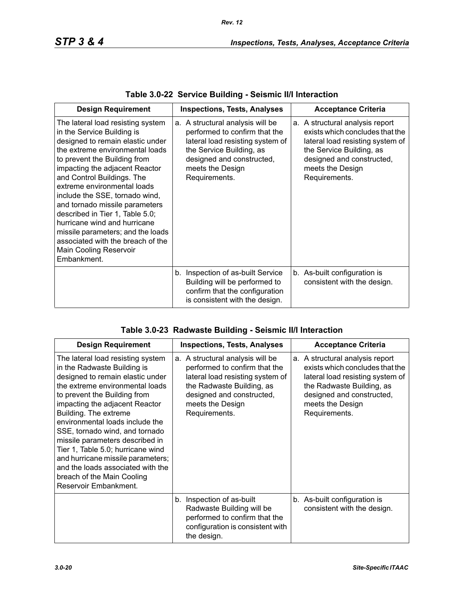| <b>Design Requirement</b>                                                                                                                                                                                                                                                                                                                                                                                                                                                                                                              | <b>Acceptance Criteria</b><br><b>Inspections, Tests, Analyses</b>                                                                                                                                   |                                                                                                                                                                                                      |
|----------------------------------------------------------------------------------------------------------------------------------------------------------------------------------------------------------------------------------------------------------------------------------------------------------------------------------------------------------------------------------------------------------------------------------------------------------------------------------------------------------------------------------------|-----------------------------------------------------------------------------------------------------------------------------------------------------------------------------------------------------|------------------------------------------------------------------------------------------------------------------------------------------------------------------------------------------------------|
| The lateral load resisting system<br>in the Service Building is<br>designed to remain elastic under<br>the extreme environmental loads<br>to prevent the Building from<br>impacting the adjacent Reactor<br>and Control Buildings. The<br>extreme environmental loads<br>include the SSE, tornado wind,<br>and tornado missile parameters<br>described in Tier 1, Table 5.0;<br>hurricane wind and hurricane<br>missile parameters; and the loads<br>associated with the breach of the<br><b>Main Cooling Reservoir</b><br>Embankment. | a. A structural analysis will be<br>performed to confirm that the<br>lateral load resisting system of<br>the Service Building, as<br>designed and constructed,<br>meets the Design<br>Requirements. | a. A structural analysis report<br>exists which concludes that the<br>lateral load resisting system of<br>the Service Building, as<br>designed and constructed,<br>meets the Design<br>Requirements. |
|                                                                                                                                                                                                                                                                                                                                                                                                                                                                                                                                        | b. Inspection of as-built Service<br>Building will be performed to<br>confirm that the configuration<br>is consistent with the design.                                                              | b. As-built configuration is<br>consistent with the design.                                                                                                                                          |

| <b>Design Requirement</b>                                                                                                                                                                                                                                                                                                                                                                                                                                                                                        | <b>Acceptance Criteria</b><br><b>Inspections, Tests, Analyses</b>                                                                                                                                    |                                                                                                                                                                                                       |
|------------------------------------------------------------------------------------------------------------------------------------------------------------------------------------------------------------------------------------------------------------------------------------------------------------------------------------------------------------------------------------------------------------------------------------------------------------------------------------------------------------------|------------------------------------------------------------------------------------------------------------------------------------------------------------------------------------------------------|-------------------------------------------------------------------------------------------------------------------------------------------------------------------------------------------------------|
| The lateral load resisting system<br>in the Radwaste Building is<br>designed to remain elastic under<br>the extreme environmental loads<br>to prevent the Building from<br>impacting the adjacent Reactor<br>Building. The extreme<br>environmental loads include the<br>SSE, tornado wind, and tornado<br>missile parameters described in<br>Tier 1, Table 5.0; hurricane wind<br>and hurricane missile parameters;<br>and the loads associated with the<br>breach of the Main Cooling<br>Reservoir Embankment. | a. A structural analysis will be<br>performed to confirm that the<br>lateral load resisting system of<br>the Radwaste Building, as<br>designed and constructed,<br>meets the Design<br>Requirements. | a. A structural analysis report<br>exists which concludes that the<br>lateral load resisting system of<br>the Radwaste Building, as<br>designed and constructed,<br>meets the Design<br>Requirements. |
|                                                                                                                                                                                                                                                                                                                                                                                                                                                                                                                  | Inspection of as-built<br>b.<br>Radwaste Building will be<br>performed to confirm that the<br>configuration is consistent with<br>the design.                                                        | b. As-built configuration is<br>consistent with the design.                                                                                                                                           |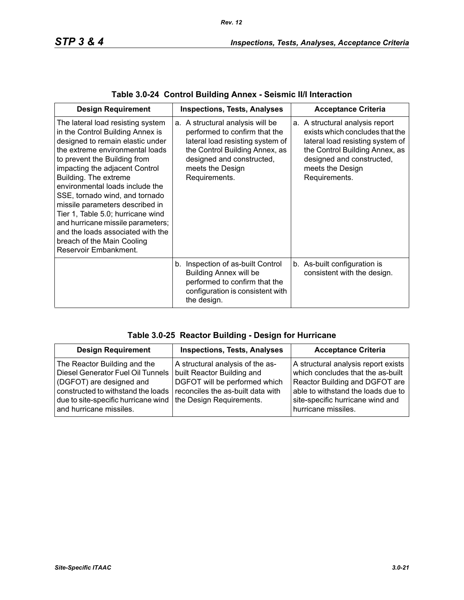| <b>Design Requirement</b>                                                                                                                                                                                                                                                                                                                                                                                                                                                                                             | <b>Inspections, Tests, Analyses</b>                                                                                                                                                                       | <b>Acceptance Criteria</b>                                                                                                                                                                                 |
|-----------------------------------------------------------------------------------------------------------------------------------------------------------------------------------------------------------------------------------------------------------------------------------------------------------------------------------------------------------------------------------------------------------------------------------------------------------------------------------------------------------------------|-----------------------------------------------------------------------------------------------------------------------------------------------------------------------------------------------------------|------------------------------------------------------------------------------------------------------------------------------------------------------------------------------------------------------------|
| The lateral load resisting system<br>in the Control Building Annex is<br>designed to remain elastic under<br>the extreme environmental loads<br>to prevent the Building from<br>impacting the adjacent Control<br>Building. The extreme<br>environmental loads include the<br>SSE, tornado wind, and tornado<br>missile parameters described in<br>Tier 1, Table 5.0; hurricane wind<br>and hurricane missile parameters;<br>and the loads associated with the<br>breach of the Main Cooling<br>Reservoir Embankment. | a. A structural analysis will be<br>performed to confirm that the<br>lateral load resisting system of<br>the Control Building Annex, as<br>designed and constructed,<br>meets the Design<br>Requirements. | a. A structural analysis report<br>exists which concludes that the<br>lateral load resisting system of<br>the Control Building Annex, as<br>designed and constructed,<br>meets the Design<br>Requirements. |
|                                                                                                                                                                                                                                                                                                                                                                                                                                                                                                                       | b. Inspection of as-built Control<br><b>Building Annex will be</b><br>performed to confirm that the<br>configuration is consistent with<br>the design.                                                    | b. As-built configuration is<br>consistent with the design.                                                                                                                                                |

| Table 3.0-24 Control Building Annex - Seismic II/I Interaction |  |  |  |  |  |  |  |
|----------------------------------------------------------------|--|--|--|--|--|--|--|
|----------------------------------------------------------------|--|--|--|--|--|--|--|

| <b>Design Requirement</b>                                                                                                                                                                                                        | <b>Inspections, Tests, Analyses</b>                                                                                                  | <b>Acceptance Criteria</b>                                                                                                                                                                                  |
|----------------------------------------------------------------------------------------------------------------------------------------------------------------------------------------------------------------------------------|--------------------------------------------------------------------------------------------------------------------------------------|-------------------------------------------------------------------------------------------------------------------------------------------------------------------------------------------------------------|
| The Reactor Building and the<br>Diesel Generator Fuel Oil Tunnels<br>(DGFOT) are designed and<br>constructed to withstand the loads<br>due to site-specific hurricane wind   the Design Requirements.<br>and hurricane missiles. | A structural analysis of the as-<br>built Reactor Building and<br>DGFOT will be performed which<br>reconciles the as-built data with | A structural analysis report exists<br>which concludes that the as-built<br>Reactor Building and DGFOT are<br>able to withstand the loads due to<br>site-specific hurricane wind and<br>hurricane missiles. |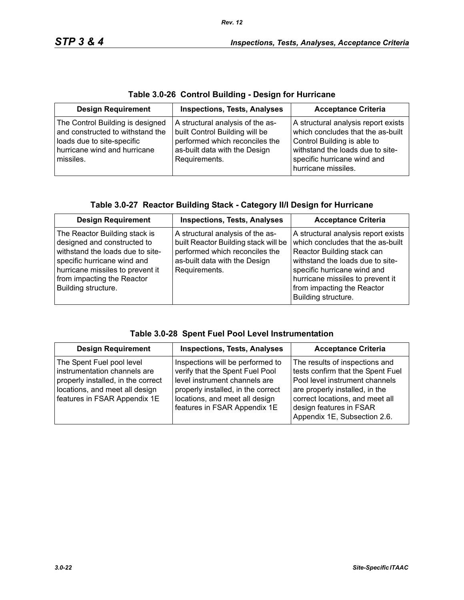|  |  |  |  | Table 3.0-26 Control Building - Design for Hurricane |
|--|--|--|--|------------------------------------------------------|
|--|--|--|--|------------------------------------------------------|

| <b>Design Requirement</b>                                                                                                                       | <b>Inspections, Tests, Analyses</b>                                                                                                                    | <b>Acceptance Criteria</b>                                                                                                                                                                        |
|-------------------------------------------------------------------------------------------------------------------------------------------------|--------------------------------------------------------------------------------------------------------------------------------------------------------|---------------------------------------------------------------------------------------------------------------------------------------------------------------------------------------------------|
| The Control Building is designed<br>and constructed to withstand the<br>loads due to site-specific<br>hurricane wind and hurricane<br>missiles. | A structural analysis of the as-<br>built Control Building will be<br>performed which reconciles the<br>as-built data with the Design<br>Requirements. | A structural analysis report exists<br>which concludes that the as-built<br>Control Building is able to<br>withstand the loads due to site-<br>specific hurricane wind and<br>hurricane missiles. |

| Table 3.0-27 Reactor Building Stack - Category II/I Design for Hurricane |  |  |
|--------------------------------------------------------------------------|--|--|

| <b>Design Requirement</b>                                                                                                                                                                                                | <b>Inspections, Tests, Analyses</b>                                                                                                                          | <b>Acceptance Criteria</b>                                                                                                                                                                                                                                         |
|--------------------------------------------------------------------------------------------------------------------------------------------------------------------------------------------------------------------------|--------------------------------------------------------------------------------------------------------------------------------------------------------------|--------------------------------------------------------------------------------------------------------------------------------------------------------------------------------------------------------------------------------------------------------------------|
| The Reactor Building stack is<br>designed and constructed to<br>withstand the loads due to site-<br>specific hurricane wind and<br>hurricane missiles to prevent it<br>from impacting the Reactor<br>Building structure. | A structural analysis of the as-<br>built Reactor Building stack will be<br>performed which reconciles the<br>as-built data with the Design<br>Requirements. | A structural analysis report exists<br>which concludes that the as-built<br>Reactor Building stack can<br>withstand the loads due to site-<br>specific hurricane wind and<br>hurricane missiles to prevent it<br>from impacting the Reactor<br>Building structure. |

|  |  |  | Table 3.0-28 Spent Fuel Pool Level Instrumentation |
|--|--|--|----------------------------------------------------|
|--|--|--|----------------------------------------------------|

| <b>Design Requirement</b>                                                                                                                                         | <b>Inspections, Tests, Analyses</b>                                                                                                                                                                          | <b>Acceptance Criteria</b>                                                                                                                                                                                                            |
|-------------------------------------------------------------------------------------------------------------------------------------------------------------------|--------------------------------------------------------------------------------------------------------------------------------------------------------------------------------------------------------------|---------------------------------------------------------------------------------------------------------------------------------------------------------------------------------------------------------------------------------------|
| The Spent Fuel pool level<br>instrumentation channels are<br>properly installed, in the correct<br>locations, and meet all design<br>features in FSAR Appendix 1E | Inspections will be performed to<br>verify that the Spent Fuel Pool<br>level instrument channels are<br>properly installed, in the correct<br>locations, and meet all design<br>features in FSAR Appendix 1E | The results of inspections and<br>tests confirm that the Spent Fuel<br>Pool level instrument channels<br>are properly installed, in the<br>correct locations, and meet all<br>design features in FSAR<br>Appendix 1E, Subsection 2.6. |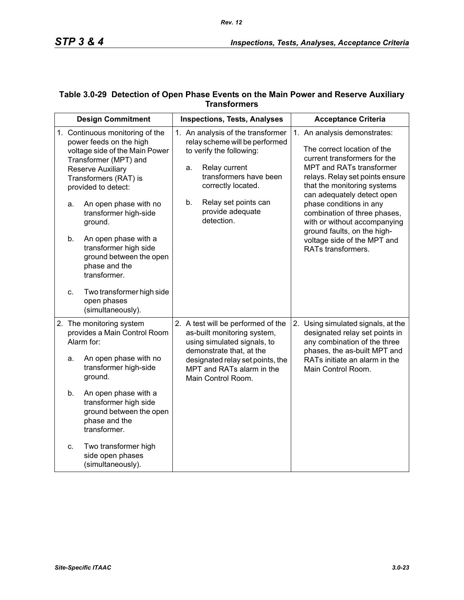### **Table 3.0-29 Detection of Open Phase Events on the Main Power and Reserve Auxiliary Transformers**

| <b>Design Commitment</b> |                                                                                                                                                                                                                                                                                                                                                                      | <b>Inspections, Tests, Analyses</b> |                                                                                                                                                                                                                                        |    | <b>Acceptance Criteria</b>                                                                                                                                                                                                                                                                                                                                                                             |  |
|--------------------------|----------------------------------------------------------------------------------------------------------------------------------------------------------------------------------------------------------------------------------------------------------------------------------------------------------------------------------------------------------------------|-------------------------------------|----------------------------------------------------------------------------------------------------------------------------------------------------------------------------------------------------------------------------------------|----|--------------------------------------------------------------------------------------------------------------------------------------------------------------------------------------------------------------------------------------------------------------------------------------------------------------------------------------------------------------------------------------------------------|--|
| a.<br>b.                 | 1. Continuous monitoring of the<br>power feeds on the high<br>voltage side of the Main Power<br>Transformer (MPT) and<br>Reserve Auxiliary<br>Transformers (RAT) is<br>provided to detect:<br>An open phase with no<br>transformer high-side<br>ground.<br>An open phase with a<br>transformer high side<br>ground between the open<br>phase and the<br>transformer. |                                     | 1. An analysis of the transformer<br>relay scheme will be performed<br>to verify the following:<br>Relay current<br>a.<br>transformers have been<br>correctly located.<br>b.<br>Relay set points can<br>provide adequate<br>detection. |    | 1. An analysis demonstrates:<br>The correct location of the<br>current transformers for the<br>MPT and RATs transformer<br>relays. Relay set points ensure<br>that the monitoring systems<br>can adequately detect open<br>phase conditions in any<br>combination of three phases,<br>with or without accompanying<br>ground faults, on the high-<br>voltage side of the MPT and<br>RATs transformers. |  |
| C.                       | Two transformer high side<br>open phases<br>(simultaneously).                                                                                                                                                                                                                                                                                                        |                                     |                                                                                                                                                                                                                                        |    |                                                                                                                                                                                                                                                                                                                                                                                                        |  |
| a.                       | 2. The monitoring system<br>provides a Main Control Room<br>Alarm for:<br>An open phase with no<br>transformer high-side<br>ground.                                                                                                                                                                                                                                  |                                     | 2. A test will be performed of the<br>as-built monitoring system,<br>using simulated signals, to<br>demonstrate that, at the<br>designated relay set points, the<br>MPT and RATs alarm in the<br>Main Control Room.                    | 2. | Using simulated signals, at the<br>designated relay set points in<br>any combination of the three<br>phases, the as-built MPT and<br>RATs initiate an alarm in the<br>Main Control Room.                                                                                                                                                                                                               |  |
| b.                       | An open phase with a<br>transformer high side<br>ground between the open<br>phase and the<br>transformer.                                                                                                                                                                                                                                                            |                                     |                                                                                                                                                                                                                                        |    |                                                                                                                                                                                                                                                                                                                                                                                                        |  |
| c.                       | Two transformer high<br>side open phases<br>(simultaneously).                                                                                                                                                                                                                                                                                                        |                                     |                                                                                                                                                                                                                                        |    |                                                                                                                                                                                                                                                                                                                                                                                                        |  |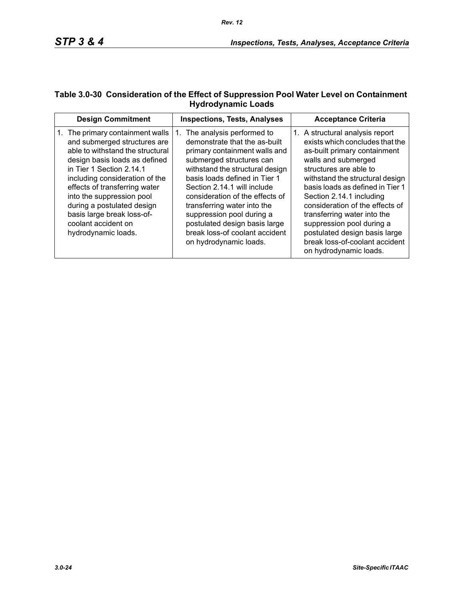## **Table 3.0-30 Consideration of the Effect of Suppression Pool Water Level on Containment Hydrodynamic Loads**

| <b>Design Commitment</b>                                                                                                                                                                                                                                                                                                                                                    | <b>Inspections, Tests, Analyses</b>                                                                                                                                                                                                                                                                                                                                                                                          | <b>Acceptance Criteria</b>                                                                                                                                                                                                                                                                                                                                                                                                                         |
|-----------------------------------------------------------------------------------------------------------------------------------------------------------------------------------------------------------------------------------------------------------------------------------------------------------------------------------------------------------------------------|------------------------------------------------------------------------------------------------------------------------------------------------------------------------------------------------------------------------------------------------------------------------------------------------------------------------------------------------------------------------------------------------------------------------------|----------------------------------------------------------------------------------------------------------------------------------------------------------------------------------------------------------------------------------------------------------------------------------------------------------------------------------------------------------------------------------------------------------------------------------------------------|
| 1. The primary containment walls<br>and submerged structures are<br>able to withstand the structural<br>design basis loads as defined<br>in Tier 1 Section 2.14.1<br>including consideration of the<br>effects of transferring water<br>into the suppression pool<br>during a postulated design<br>basis large break loss-of-<br>coolant accident on<br>hydrodynamic loads. | The analysis performed to<br>1.<br>demonstrate that the as-built<br>primary containment walls and<br>submerged structures can<br>withstand the structural design<br>basis loads defined in Tier 1<br>Section 2.14.1 will include<br>consideration of the effects of<br>transferring water into the<br>suppression pool during a<br>postulated design basis large<br>break loss-of coolant accident<br>on hydrodynamic loads. | 1. A structural analysis report<br>exists which concludes that the<br>as-built primary containment<br>walls and submerged<br>structures are able to<br>withstand the structural design<br>basis loads as defined in Tier 1<br>Section 2.14.1 including<br>consideration of the effects of<br>transferring water into the<br>suppression pool during a<br>postulated design basis large<br>break loss-of-coolant accident<br>on hydrodynamic loads. |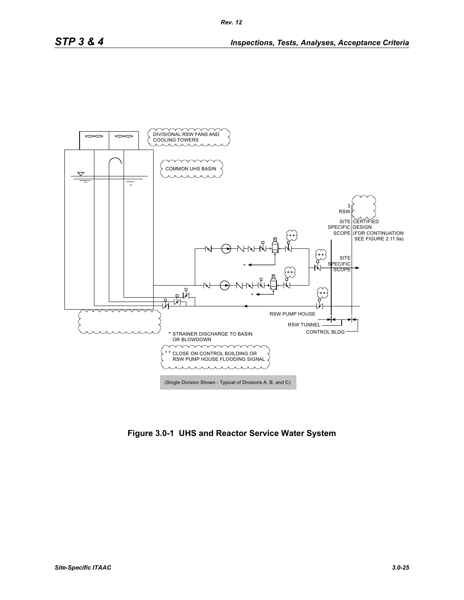

**Figure 3.0-1 UHS and Reactor Service Water System**